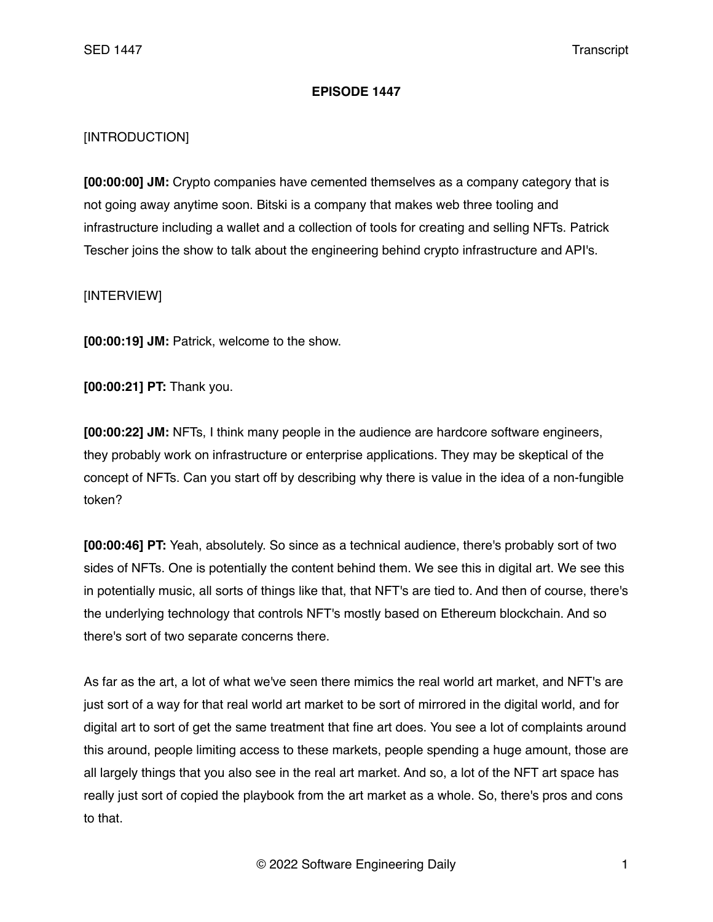## **EPISODE 1447**

## [INTRODUCTION]

**[00:00:00] JM:** Crypto companies have cemented themselves as a company category that is not going away anytime soon. Bitski is a company that makes web three tooling and infrastructure including a wallet and a collection of tools for creating and selling NFTs. Patrick Tescher joins the show to talk about the engineering behind crypto infrastructure and API's.

## [INTERVIEW]

**[00:00:19] JM:** Patrick, welcome to the show.

**[00:00:21] PT:** Thank you.

**[00:00:22] JM:** NFTs, I think many people in the audience are hardcore software engineers, they probably work on infrastructure or enterprise applications. They may be skeptical of the concept of NFTs. Can you start off by describing why there is value in the idea of a non-fungible token?

**[00:00:46] PT:** Yeah, absolutely. So since as a technical audience, there's probably sort of two sides of NFTs. One is potentially the content behind them. We see this in digital art. We see this in potentially music, all sorts of things like that, that NFT's are tied to. And then of course, there's the underlying technology that controls NFT's mostly based on Ethereum blockchain. And so there's sort of two separate concerns there.

As far as the art, a lot of what we've seen there mimics the real world art market, and NFT's are just sort of a way for that real world art market to be sort of mirrored in the digital world, and for digital art to sort of get the same treatment that fine art does. You see a lot of complaints around this around, people limiting access to these markets, people spending a huge amount, those are all largely things that you also see in the real art market. And so, a lot of the NFT art space has really just sort of copied the playbook from the art market as a whole. So, there's pros and cons to that.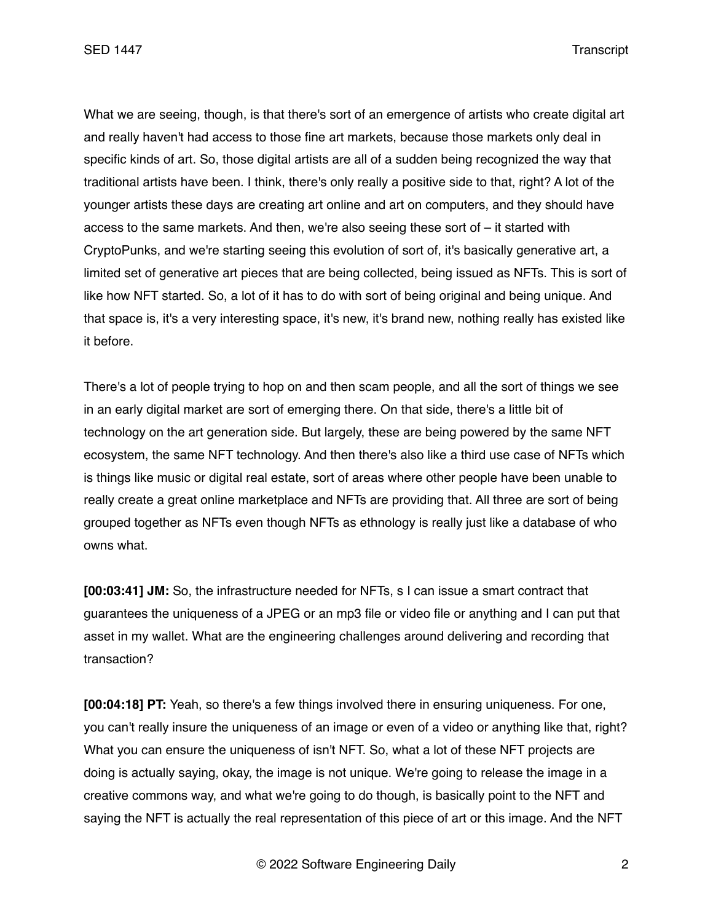What we are seeing, though, is that there's sort of an emergence of artists who create digital art and really haven't had access to those fine art markets, because those markets only deal in specific kinds of art. So, those digital artists are all of a sudden being recognized the way that traditional artists have been. I think, there's only really a positive side to that, right? A lot of the younger artists these days are creating art online and art on computers, and they should have access to the same markets. And then, we're also seeing these sort of – it started with CryptoPunks, and we're starting seeing this evolution of sort of, it's basically generative art, a limited set of generative art pieces that are being collected, being issued as NFTs. This is sort of like how NFT started. So, a lot of it has to do with sort of being original and being unique. And that space is, it's a very interesting space, it's new, it's brand new, nothing really has existed like it before.

There's a lot of people trying to hop on and then scam people, and all the sort of things we see in an early digital market are sort of emerging there. On that side, there's a little bit of technology on the art generation side. But largely, these are being powered by the same NFT ecosystem, the same NFT technology. And then there's also like a third use case of NFTs which is things like music or digital real estate, sort of areas where other people have been unable to really create a great online marketplace and NFTs are providing that. All three are sort of being grouped together as NFTs even though NFTs as ethnology is really just like a database of who owns what.

**[00:03:41] JM:** So, the infrastructure needed for NFTs, s I can issue a smart contract that guarantees the uniqueness of a JPEG or an mp3 file or video file or anything and I can put that asset in my wallet. What are the engineering challenges around delivering and recording that transaction?

**[00:04:18] PT:** Yeah, so there's a few things involved there in ensuring uniqueness. For one, you can't really insure the uniqueness of an image or even of a video or anything like that, right? What you can ensure the uniqueness of isn't NFT. So, what a lot of these NFT projects are doing is actually saying, okay, the image is not unique. We're going to release the image in a creative commons way, and what we're going to do though, is basically point to the NFT and saying the NFT is actually the real representation of this piece of art or this image. And the NFT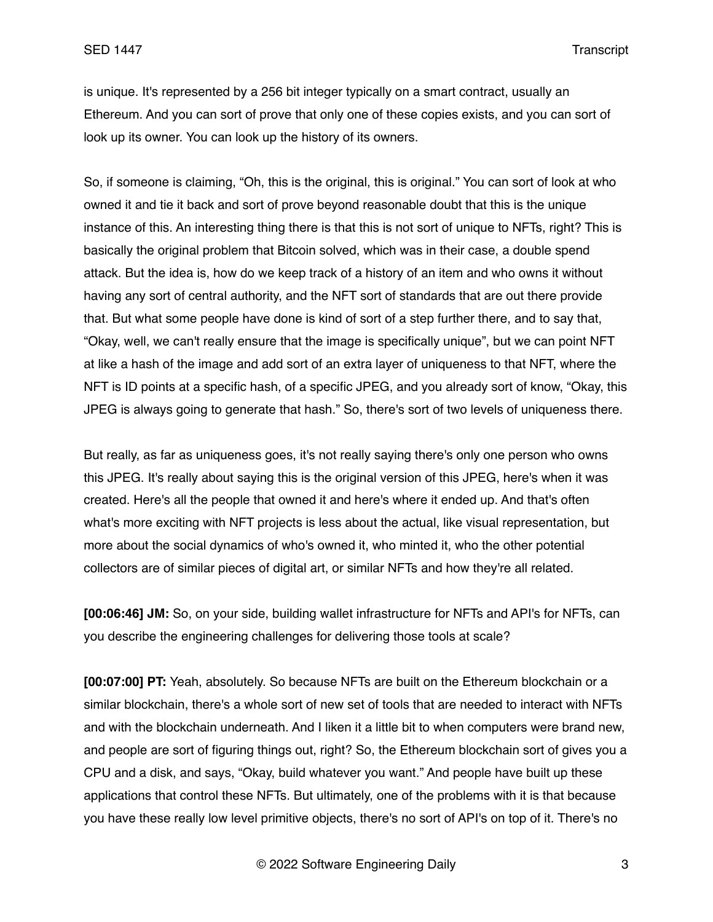is unique. It's represented by a 256 bit integer typically on a smart contract, usually an Ethereum. And you can sort of prove that only one of these copies exists, and you can sort of look up its owner. You can look up the history of its owners.

So, if someone is claiming, "Oh, this is the original, this is original." You can sort of look at who owned it and tie it back and sort of prove beyond reasonable doubt that this is the unique instance of this. An interesting thing there is that this is not sort of unique to NFTs, right? This is basically the original problem that Bitcoin solved, which was in their case, a double spend attack. But the idea is, how do we keep track of a history of an item and who owns it without having any sort of central authority, and the NFT sort of standards that are out there provide that. But what some people have done is kind of sort of a step further there, and to say that, "Okay, well, we can't really ensure that the image is specifically unique", but we can point NFT at like a hash of the image and add sort of an extra layer of uniqueness to that NFT, where the NFT is ID points at a specific hash, of a specific JPEG, and you already sort of know, "Okay, this JPEG is always going to generate that hash." So, there's sort of two levels of uniqueness there.

But really, as far as uniqueness goes, it's not really saying there's only one person who owns this JPEG. It's really about saying this is the original version of this JPEG, here's when it was created. Here's all the people that owned it and here's where it ended up. And that's often what's more exciting with NFT projects is less about the actual, like visual representation, but more about the social dynamics of who's owned it, who minted it, who the other potential collectors are of similar pieces of digital art, or similar NFTs and how they're all related.

**[00:06:46] JM:** So, on your side, building wallet infrastructure for NFTs and API's for NFTs, can you describe the engineering challenges for delivering those tools at scale?

**[00:07:00] PT:** Yeah, absolutely. So because NFTs are built on the Ethereum blockchain or a similar blockchain, there's a whole sort of new set of tools that are needed to interact with NFTs and with the blockchain underneath. And I liken it a little bit to when computers were brand new, and people are sort of figuring things out, right? So, the Ethereum blockchain sort of gives you a CPU and a disk, and says, "Okay, build whatever you want." And people have built up these applications that control these NFTs. But ultimately, one of the problems with it is that because you have these really low level primitive objects, there's no sort of API's on top of it. There's no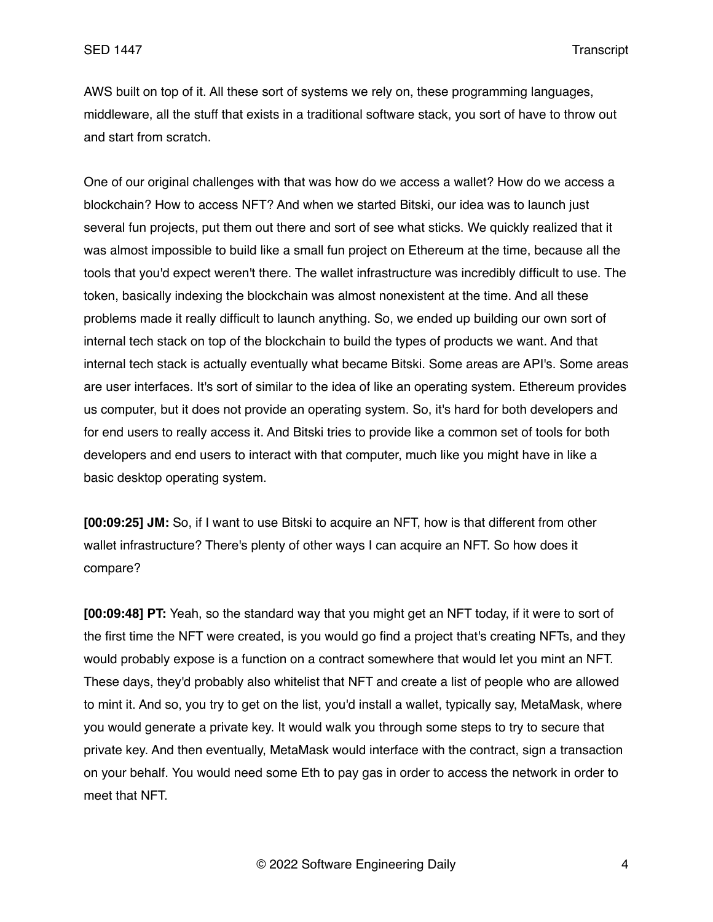AWS built on top of it. All these sort of systems we rely on, these programming languages, middleware, all the stuff that exists in a traditional software stack, you sort of have to throw out and start from scratch.

One of our original challenges with that was how do we access a wallet? How do we access a blockchain? How to access NFT? And when we started Bitski, our idea was to launch just several fun projects, put them out there and sort of see what sticks. We quickly realized that it was almost impossible to build like a small fun project on Ethereum at the time, because all the tools that you'd expect weren't there. The wallet infrastructure was incredibly difficult to use. The token, basically indexing the blockchain was almost nonexistent at the time. And all these problems made it really difficult to launch anything. So, we ended up building our own sort of internal tech stack on top of the blockchain to build the types of products we want. And that internal tech stack is actually eventually what became Bitski. Some areas are API's. Some areas are user interfaces. It's sort of similar to the idea of like an operating system. Ethereum provides us computer, but it does not provide an operating system. So, it's hard for both developers and for end users to really access it. And Bitski tries to provide like a common set of tools for both developers and end users to interact with that computer, much like you might have in like a basic desktop operating system.

**[00:09:25] JM:** So, if I want to use Bitski to acquire an NFT, how is that different from other wallet infrastructure? There's plenty of other ways I can acquire an NFT. So how does it compare?

**[00:09:48] PT:** Yeah, so the standard way that you might get an NFT today, if it were to sort of the first time the NFT were created, is you would go find a project that's creating NFTs, and they would probably expose is a function on a contract somewhere that would let you mint an NFT. These days, they'd probably also whitelist that NFT and create a list of people who are allowed to mint it. And so, you try to get on the list, you'd install a wallet, typically say, MetaMask, where you would generate a private key. It would walk you through some steps to try to secure that private key. And then eventually, MetaMask would interface with the contract, sign a transaction on your behalf. You would need some Eth to pay gas in order to access the network in order to meet that NFT.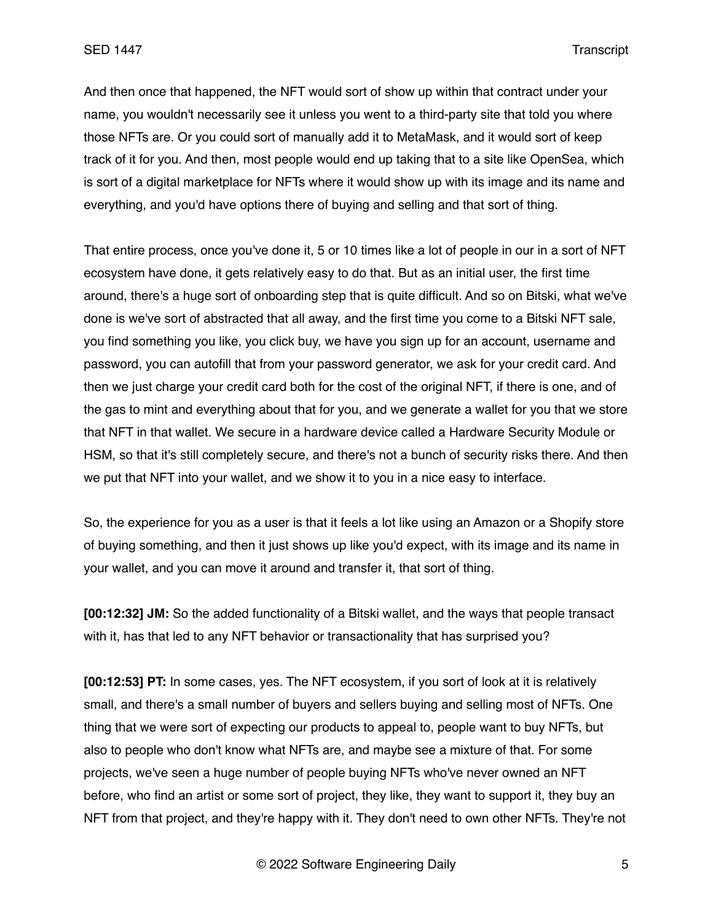And then once that happened, the NFT would sort of show up within that contract under your name, you wouldn't necessarily see it unless you went to a third-party site that told you where those NFTs are. Or you could sort of manually add it to MetaMask, and it would sort of keep track of it for you. And then, most people would end up taking that to a site like OpenSea, which is sort of a digital marketplace for NFTs where it would show up with its image and its name and everything, and you'd have options there of buying and selling and that sort of thing.

That entire process, once you've done it, 5 or 10 times like a lot of people in our in a sort of NFT ecosystem have done, it gets relatively easy to do that. But as an initial user, the first time around, there's a huge sort of onboarding step that is quite difficult. And so on Bitski, what we've done is we've sort of abstracted that all away, and the first time you come to a Bitski NFT sale, you find something you like, you click buy, we have you sign up for an account, username and password, you can autofill that from your password generator, we ask for your credit card. And then we just charge your credit card both for the cost of the original NFT, if there is one, and of the gas to mint and everything about that for you, and we generate a wallet for you that we store that NFT in that wallet. We secure in a hardware device called a Hardware Security Module or HSM, so that it's still completely secure, and there's not a bunch of security risks there. And then we put that NFT into your wallet, and we show it to you in a nice easy to interface.

So, the experience for you as a user is that it feels a lot like using an Amazon or a Shopify store of buying something, and then it just shows up like you'd expect, with its image and its name in your wallet, and you can move it around and transfer it, that sort of thing.

**[00:12:32] JM:** So the added functionality of a Bitski wallet, and the ways that people transact with it, has that led to any NFT behavior or transactionality that has surprised you?

**[00:12:53] PT:** In some cases, yes. The NFT ecosystem, if you sort of look at it is relatively small, and there's a small number of buyers and sellers buying and selling most of NFTs. One thing that we were sort of expecting our products to appeal to, people want to buy NFTs, but also to people who don't know what NFTs are, and maybe see a mixture of that. For some projects, we've seen a huge number of people buying NFTs who've never owned an NFT before, who find an artist or some sort of project, they like, they want to support it, they buy an NFT from that project, and they're happy with it. They don't need to own other NFTs. They're not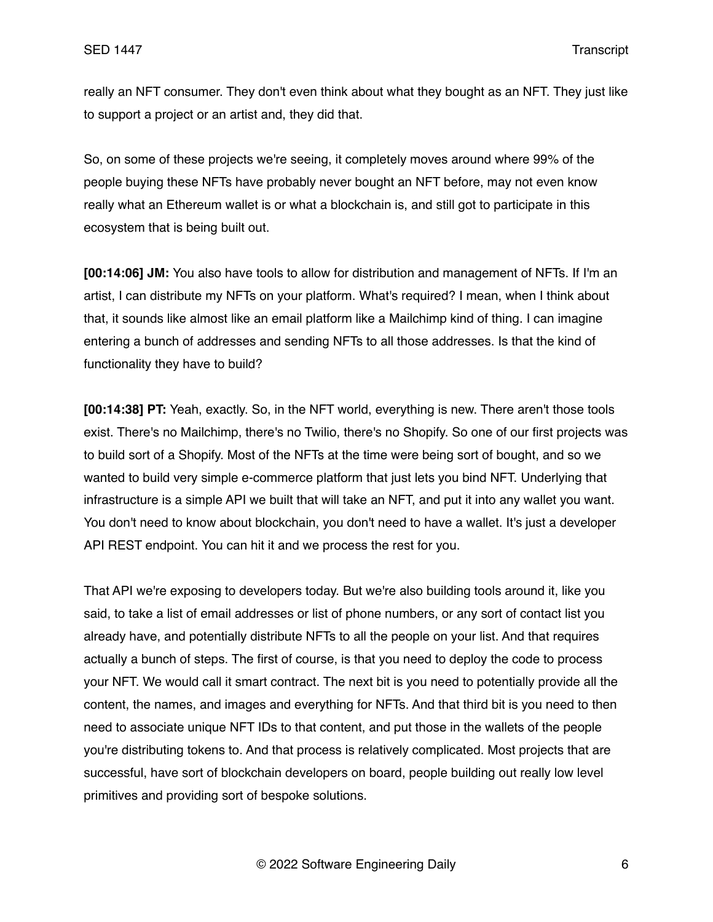really an NFT consumer. They don't even think about what they bought as an NFT. They just like to support a project or an artist and, they did that.

So, on some of these projects we're seeing, it completely moves around where 99% of the people buying these NFTs have probably never bought an NFT before, may not even know really what an Ethereum wallet is or what a blockchain is, and still got to participate in this ecosystem that is being built out.

**[00:14:06] JM:** You also have tools to allow for distribution and management of NFTs. If I'm an artist, I can distribute my NFTs on your platform. What's required? I mean, when I think about that, it sounds like almost like an email platform like a Mailchimp kind of thing. I can imagine entering a bunch of addresses and sending NFTs to all those addresses. Is that the kind of functionality they have to build?

**[00:14:38] PT:** Yeah, exactly. So, in the NFT world, everything is new. There aren't those tools exist. There's no Mailchimp, there's no Twilio, there's no Shopify. So one of our first projects was to build sort of a Shopify. Most of the NFTs at the time were being sort of bought, and so we wanted to build very simple e-commerce platform that just lets you bind NFT. Underlying that infrastructure is a simple API we built that will take an NFT, and put it into any wallet you want. You don't need to know about blockchain, you don't need to have a wallet. It's just a developer API REST endpoint. You can hit it and we process the rest for you.

That API we're exposing to developers today. But we're also building tools around it, like you said, to take a list of email addresses or list of phone numbers, or any sort of contact list you already have, and potentially distribute NFTs to all the people on your list. And that requires actually a bunch of steps. The first of course, is that you need to deploy the code to process your NFT. We would call it smart contract. The next bit is you need to potentially provide all the content, the names, and images and everything for NFTs. And that third bit is you need to then need to associate unique NFT IDs to that content, and put those in the wallets of the people you're distributing tokens to. And that process is relatively complicated. Most projects that are successful, have sort of blockchain developers on board, people building out really low level primitives and providing sort of bespoke solutions.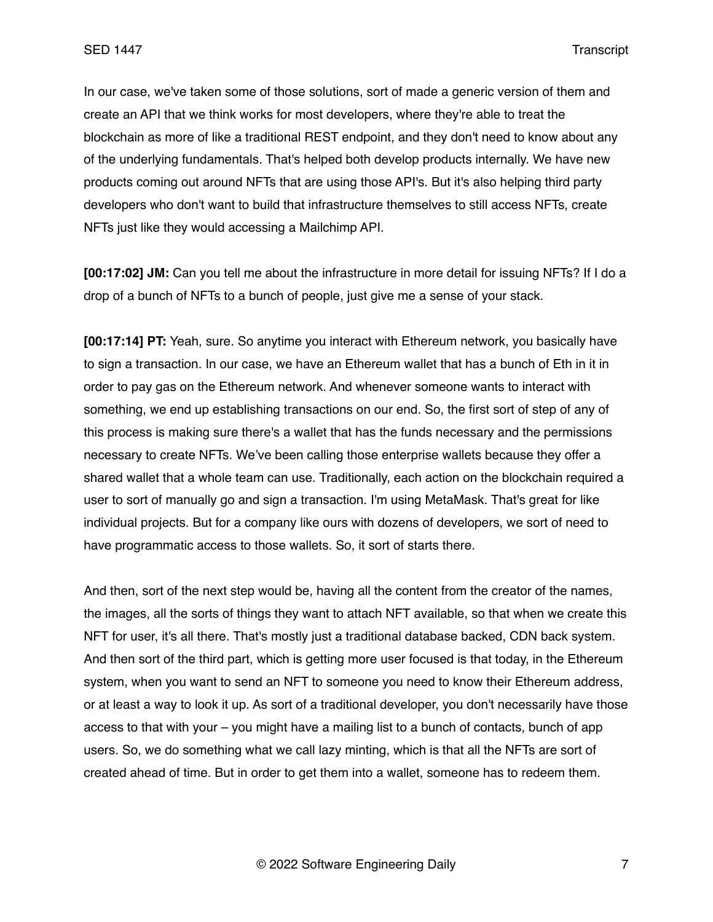In our case, we've taken some of those solutions, sort of made a generic version of them and create an API that we think works for most developers, where they're able to treat the blockchain as more of like a traditional REST endpoint, and they don't need to know about any of the underlying fundamentals. That's helped both develop products internally. We have new products coming out around NFTs that are using those API's. But it's also helping third party developers who don't want to build that infrastructure themselves to still access NFTs, create NFTs just like they would accessing a Mailchimp API.

**[00:17:02] JM:** Can you tell me about the infrastructure in more detail for issuing NFTs? If I do a drop of a bunch of NFTs to a bunch of people, just give me a sense of your stack.

**[00:17:14] PT:** Yeah, sure. So anytime you interact with Ethereum network, you basically have to sign a transaction. In our case, we have an Ethereum wallet that has a bunch of Eth in it in order to pay gas on the Ethereum network. And whenever someone wants to interact with something, we end up establishing transactions on our end. So, the first sort of step of any of this process is making sure there's a wallet that has the funds necessary and the permissions necessary to create NFTs. We've been calling those enterprise wallets because they offer a shared wallet that a whole team can use. Traditionally, each action on the blockchain required a user to sort of manually go and sign a transaction. I'm using MetaMask. That's great for like individual projects. But for a company like ours with dozens of developers, we sort of need to have programmatic access to those wallets. So, it sort of starts there.

And then, sort of the next step would be, having all the content from the creator of the names, the images, all the sorts of things they want to attach NFT available, so that when we create this NFT for user, it's all there. That's mostly just a traditional database backed, CDN back system. And then sort of the third part, which is getting more user focused is that today, in the Ethereum system, when you want to send an NFT to someone you need to know their Ethereum address, or at least a way to look it up. As sort of a traditional developer, you don't necessarily have those access to that with your – you might have a mailing list to a bunch of contacts, bunch of app users. So, we do something what we call lazy minting, which is that all the NFTs are sort of created ahead of time. But in order to get them into a wallet, someone has to redeem them.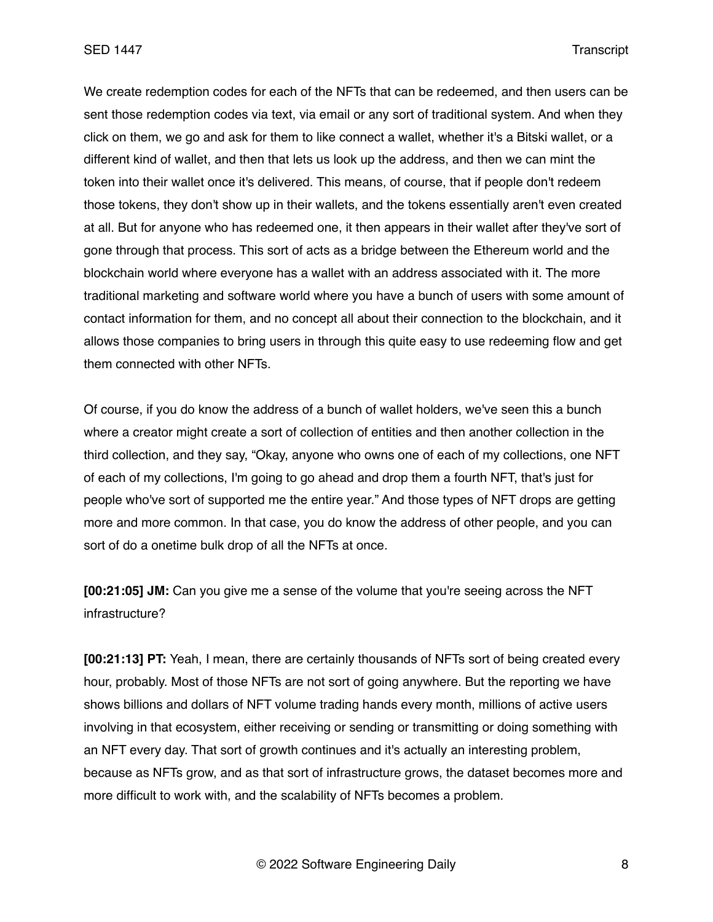We create redemption codes for each of the NFTs that can be redeemed, and then users can be sent those redemption codes via text, via email or any sort of traditional system. And when they click on them, we go and ask for them to like connect a wallet, whether it's a Bitski wallet, or a different kind of wallet, and then that lets us look up the address, and then we can mint the token into their wallet once it's delivered. This means, of course, that if people don't redeem those tokens, they don't show up in their wallets, and the tokens essentially aren't even created at all. But for anyone who has redeemed one, it then appears in their wallet after they've sort of gone through that process. This sort of acts as a bridge between the Ethereum world and the blockchain world where everyone has a wallet with an address associated with it. The more traditional marketing and software world where you have a bunch of users with some amount of contact information for them, and no concept all about their connection to the blockchain, and it allows those companies to bring users in through this quite easy to use redeeming flow and get them connected with other NFTs.

Of course, if you do know the address of a bunch of wallet holders, we've seen this a bunch where a creator might create a sort of collection of entities and then another collection in the third collection, and they say, "Okay, anyone who owns one of each of my collections, one NFT of each of my collections, I'm going to go ahead and drop them a fourth NFT, that's just for people who've sort of supported me the entire year." And those types of NFT drops are getting more and more common. In that case, you do know the address of other people, and you can sort of do a onetime bulk drop of all the NFTs at once.

**[00:21:05] JM:** Can you give me a sense of the volume that you're seeing across the NFT infrastructure?

**[00:21:13] PT:** Yeah, I mean, there are certainly thousands of NFTs sort of being created every hour, probably. Most of those NFTs are not sort of going anywhere. But the reporting we have shows billions and dollars of NFT volume trading hands every month, millions of active users involving in that ecosystem, either receiving or sending or transmitting or doing something with an NFT every day. That sort of growth continues and it's actually an interesting problem, because as NFTs grow, and as that sort of infrastructure grows, the dataset becomes more and more difficult to work with, and the scalability of NFTs becomes a problem.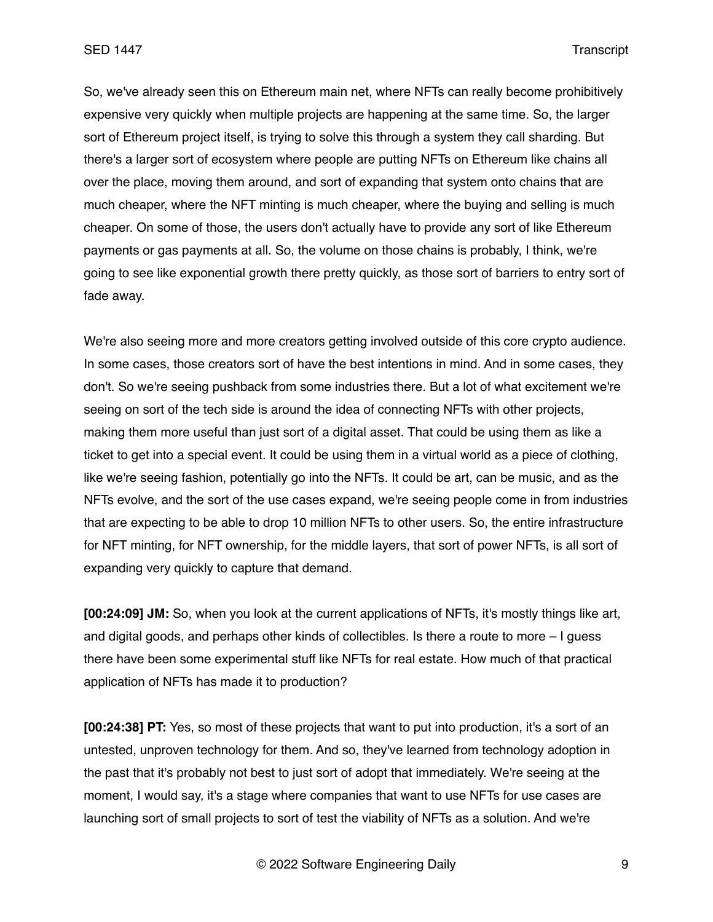So, we've already seen this on Ethereum main net, where NFTs can really become prohibitively expensive very quickly when multiple projects are happening at the same time. So, the larger sort of Ethereum project itself, is trying to solve this through a system they call sharding. But there's a larger sort of ecosystem where people are putting NFTs on Ethereum like chains all over the place, moving them around, and sort of expanding that system onto chains that are much cheaper, where the NFT minting is much cheaper, where the buying and selling is much cheaper. On some of those, the users don't actually have to provide any sort of like Ethereum payments or gas payments at all. So, the volume on those chains is probably, I think, we're going to see like exponential growth there pretty quickly, as those sort of barriers to entry sort of fade away.

We're also seeing more and more creators getting involved outside of this core crypto audience. In some cases, those creators sort of have the best intentions in mind. And in some cases, they don't. So we're seeing pushback from some industries there. But a lot of what excitement we're seeing on sort of the tech side is around the idea of connecting NFTs with other projects, making them more useful than just sort of a digital asset. That could be using them as like a ticket to get into a special event. It could be using them in a virtual world as a piece of clothing, like we're seeing fashion, potentially go into the NFTs. It could be art, can be music, and as the NFTs evolve, and the sort of the use cases expand, we're seeing people come in from industries that are expecting to be able to drop 10 million NFTs to other users. So, the entire infrastructure for NFT minting, for NFT ownership, for the middle layers, that sort of power NFTs, is all sort of expanding very quickly to capture that demand.

**[00:24:09] JM:** So, when you look at the current applications of NFTs, it's mostly things like art, and digital goods, and perhaps other kinds of collectibles. Is there a route to more – I guess there have been some experimental stuff like NFTs for real estate. How much of that practical application of NFTs has made it to production?

**[00:24:38] PT:** Yes, so most of these projects that want to put into production, it's a sort of an untested, unproven technology for them. And so, they've learned from technology adoption in the past that it's probably not best to just sort of adopt that immediately. We're seeing at the moment, I would say, it's a stage where companies that want to use NFTs for use cases are launching sort of small projects to sort of test the viability of NFTs as a solution. And we're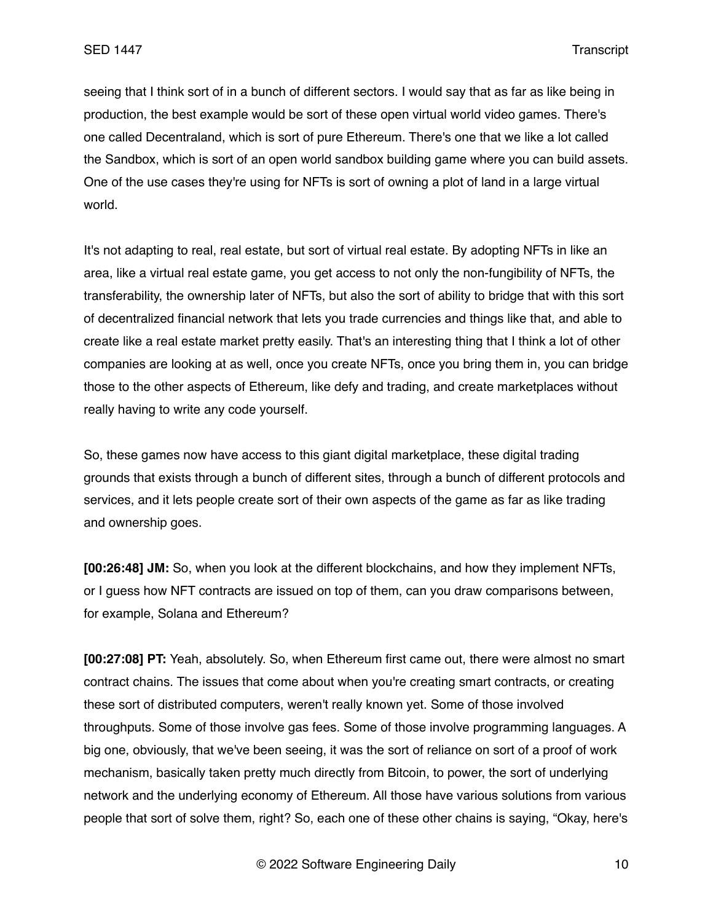seeing that I think sort of in a bunch of different sectors. I would say that as far as like being in production, the best example would be sort of these open virtual world video games. There's one called Decentraland, which is sort of pure Ethereum. There's one that we like a lot called the Sandbox, which is sort of an open world sandbox building game where you can build assets. One of the use cases they're using for NFTs is sort of owning a plot of land in a large virtual world.

It's not adapting to real, real estate, but sort of virtual real estate. By adopting NFTs in like an area, like a virtual real estate game, you get access to not only the non-fungibility of NFTs, the transferability, the ownership later of NFTs, but also the sort of ability to bridge that with this sort of decentralized financial network that lets you trade currencies and things like that, and able to create like a real estate market pretty easily. That's an interesting thing that I think a lot of other companies are looking at as well, once you create NFTs, once you bring them in, you can bridge those to the other aspects of Ethereum, like defy and trading, and create marketplaces without really having to write any code yourself.

So, these games now have access to this giant digital marketplace, these digital trading grounds that exists through a bunch of different sites, through a bunch of different protocols and services, and it lets people create sort of their own aspects of the game as far as like trading and ownership goes.

**[00:26:48] JM:** So, when you look at the different blockchains, and how they implement NFTs, or I guess how NFT contracts are issued on top of them, can you draw comparisons between, for example, Solana and Ethereum?

**[00:27:08] PT:** Yeah, absolutely. So, when Ethereum first came out, there were almost no smart contract chains. The issues that come about when you're creating smart contracts, or creating these sort of distributed computers, weren't really known yet. Some of those involved throughputs. Some of those involve gas fees. Some of those involve programming languages. A big one, obviously, that we've been seeing, it was the sort of reliance on sort of a proof of work mechanism, basically taken pretty much directly from Bitcoin, to power, the sort of underlying network and the underlying economy of Ethereum. All those have various solutions from various people that sort of solve them, right? So, each one of these other chains is saying, "Okay, here's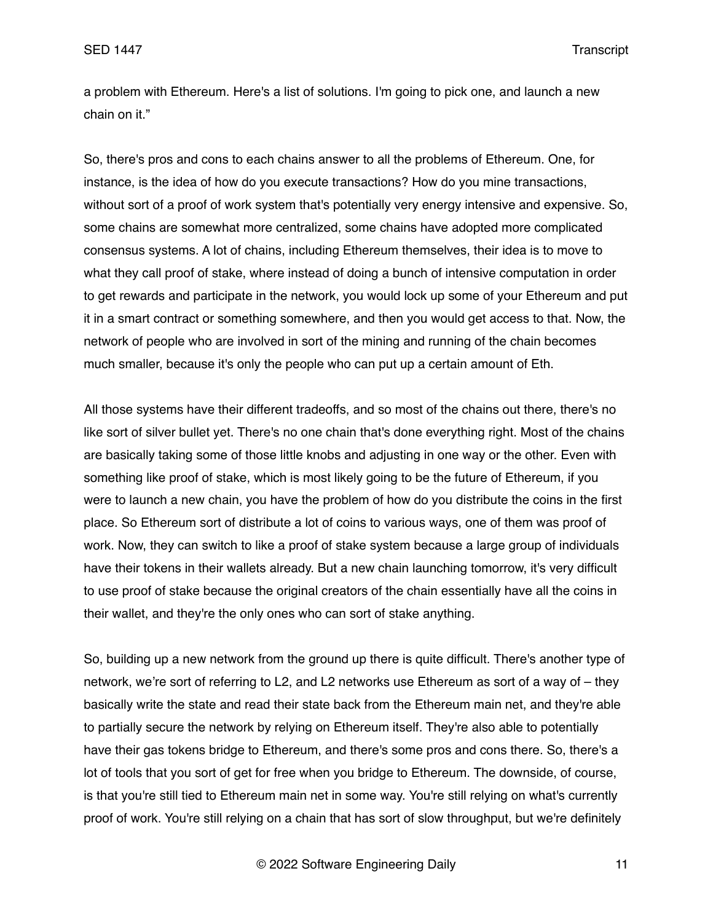a problem with Ethereum. Here's a list of solutions. I'm going to pick one, and launch a new chain on it."

So, there's pros and cons to each chains answer to all the problems of Ethereum. One, for instance, is the idea of how do you execute transactions? How do you mine transactions, without sort of a proof of work system that's potentially very energy intensive and expensive. So, some chains are somewhat more centralized, some chains have adopted more complicated consensus systems. A lot of chains, including Ethereum themselves, their idea is to move to what they call proof of stake, where instead of doing a bunch of intensive computation in order to get rewards and participate in the network, you would lock up some of your Ethereum and put it in a smart contract or something somewhere, and then you would get access to that. Now, the network of people who are involved in sort of the mining and running of the chain becomes much smaller, because it's only the people who can put up a certain amount of Eth.

All those systems have their different tradeoffs, and so most of the chains out there, there's no like sort of silver bullet yet. There's no one chain that's done everything right. Most of the chains are basically taking some of those little knobs and adjusting in one way or the other. Even with something like proof of stake, which is most likely going to be the future of Ethereum, if you were to launch a new chain, you have the problem of how do you distribute the coins in the first place. So Ethereum sort of distribute a lot of coins to various ways, one of them was proof of work. Now, they can switch to like a proof of stake system because a large group of individuals have their tokens in their wallets already. But a new chain launching tomorrow, it's very difficult to use proof of stake because the original creators of the chain essentially have all the coins in their wallet, and they're the only ones who can sort of stake anything.

So, building up a new network from the ground up there is quite difficult. There's another type of network, we're sort of referring to L2, and L2 networks use Ethereum as sort of a way of – they basically write the state and read their state back from the Ethereum main net, and they're able to partially secure the network by relying on Ethereum itself. They're also able to potentially have their gas tokens bridge to Ethereum, and there's some pros and cons there. So, there's a lot of tools that you sort of get for free when you bridge to Ethereum. The downside, of course, is that you're still tied to Ethereum main net in some way. You're still relying on what's currently proof of work. You're still relying on a chain that has sort of slow throughput, but we're definitely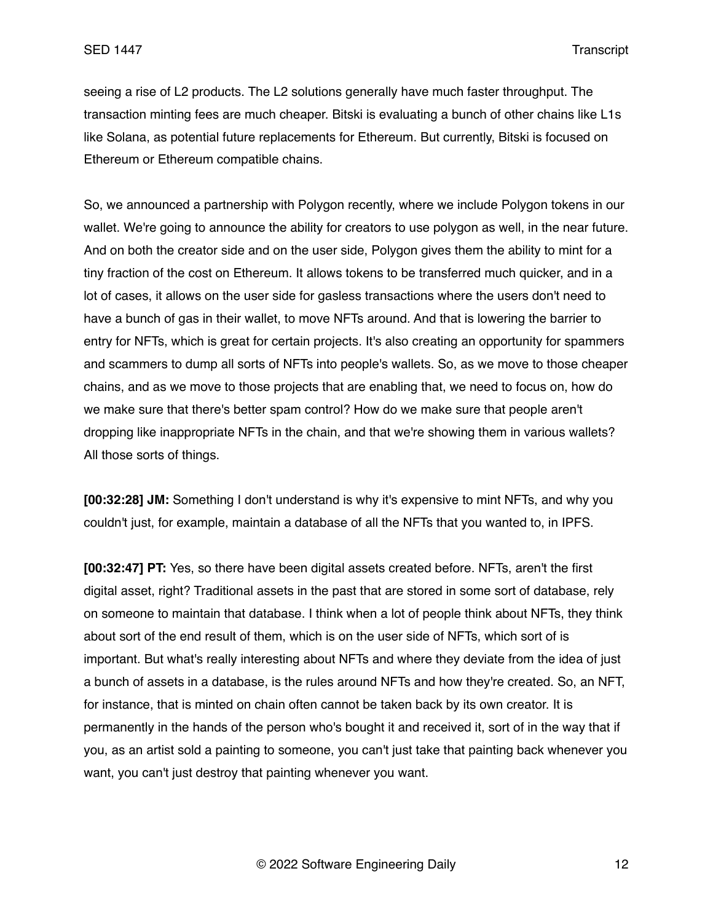seeing a rise of L2 products. The L2 solutions generally have much faster throughput. The transaction minting fees are much cheaper. Bitski is evaluating a bunch of other chains like L1s like Solana, as potential future replacements for Ethereum. But currently, Bitski is focused on Ethereum or Ethereum compatible chains.

So, we announced a partnership with Polygon recently, where we include Polygon tokens in our wallet. We're going to announce the ability for creators to use polygon as well, in the near future. And on both the creator side and on the user side, Polygon gives them the ability to mint for a tiny fraction of the cost on Ethereum. It allows tokens to be transferred much quicker, and in a lot of cases, it allows on the user side for gasless transactions where the users don't need to have a bunch of gas in their wallet, to move NFTs around. And that is lowering the barrier to entry for NFTs, which is great for certain projects. It's also creating an opportunity for spammers and scammers to dump all sorts of NFTs into people's wallets. So, as we move to those cheaper chains, and as we move to those projects that are enabling that, we need to focus on, how do we make sure that there's better spam control? How do we make sure that people aren't dropping like inappropriate NFTs in the chain, and that we're showing them in various wallets? All those sorts of things.

**[00:32:28] JM:** Something I don't understand is why it's expensive to mint NFTs, and why you couldn't just, for example, maintain a database of all the NFTs that you wanted to, in IPFS.

**[00:32:47] PT:** Yes, so there have been digital assets created before. NFTs, aren't the first digital asset, right? Traditional assets in the past that are stored in some sort of database, rely on someone to maintain that database. I think when a lot of people think about NFTs, they think about sort of the end result of them, which is on the user side of NFTs, which sort of is important. But what's really interesting about NFTs and where they deviate from the idea of just a bunch of assets in a database, is the rules around NFTs and how they're created. So, an NFT, for instance, that is minted on chain often cannot be taken back by its own creator. It is permanently in the hands of the person who's bought it and received it, sort of in the way that if you, as an artist sold a painting to someone, you can't just take that painting back whenever you want, you can't just destroy that painting whenever you want.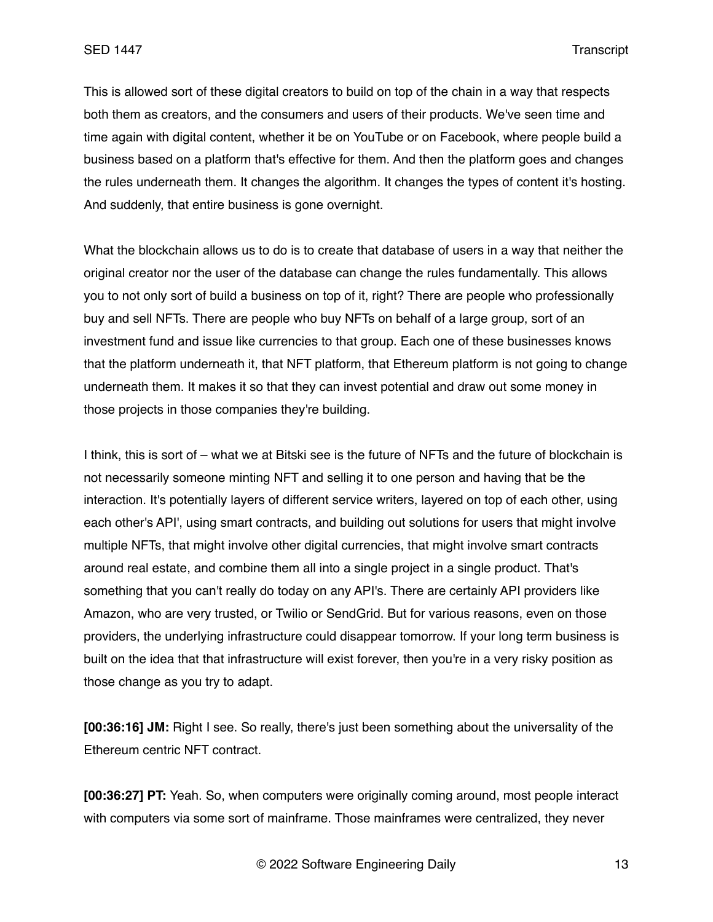This is allowed sort of these digital creators to build on top of the chain in a way that respects both them as creators, and the consumers and users of their products. We've seen time and time again with digital content, whether it be on YouTube or on Facebook, where people build a business based on a platform that's effective for them. And then the platform goes and changes the rules underneath them. It changes the algorithm. It changes the types of content it's hosting. And suddenly, that entire business is gone overnight.

What the blockchain allows us to do is to create that database of users in a way that neither the original creator nor the user of the database can change the rules fundamentally. This allows you to not only sort of build a business on top of it, right? There are people who professionally buy and sell NFTs. There are people who buy NFTs on behalf of a large group, sort of an investment fund and issue like currencies to that group. Each one of these businesses knows that the platform underneath it, that NFT platform, that Ethereum platform is not going to change underneath them. It makes it so that they can invest potential and draw out some money in those projects in those companies they're building.

I think, this is sort of – what we at Bitski see is the future of NFTs and the future of blockchain is not necessarily someone minting NFT and selling it to one person and having that be the interaction. It's potentially layers of different service writers, layered on top of each other, using each other's API', using smart contracts, and building out solutions for users that might involve multiple NFTs, that might involve other digital currencies, that might involve smart contracts around real estate, and combine them all into a single project in a single product. That's something that you can't really do today on any API's. There are certainly API providers like Amazon, who are very trusted, or Twilio or SendGrid. But for various reasons, even on those providers, the underlying infrastructure could disappear tomorrow. If your long term business is built on the idea that that infrastructure will exist forever, then you're in a very risky position as those change as you try to adapt.

**[00:36:16] JM:** Right I see. So really, there's just been something about the universality of the Ethereum centric NFT contract.

**[00:36:27] PT:** Yeah. So, when computers were originally coming around, most people interact with computers via some sort of mainframe. Those mainframes were centralized, they never

© 2022 Software Engineering Daily 13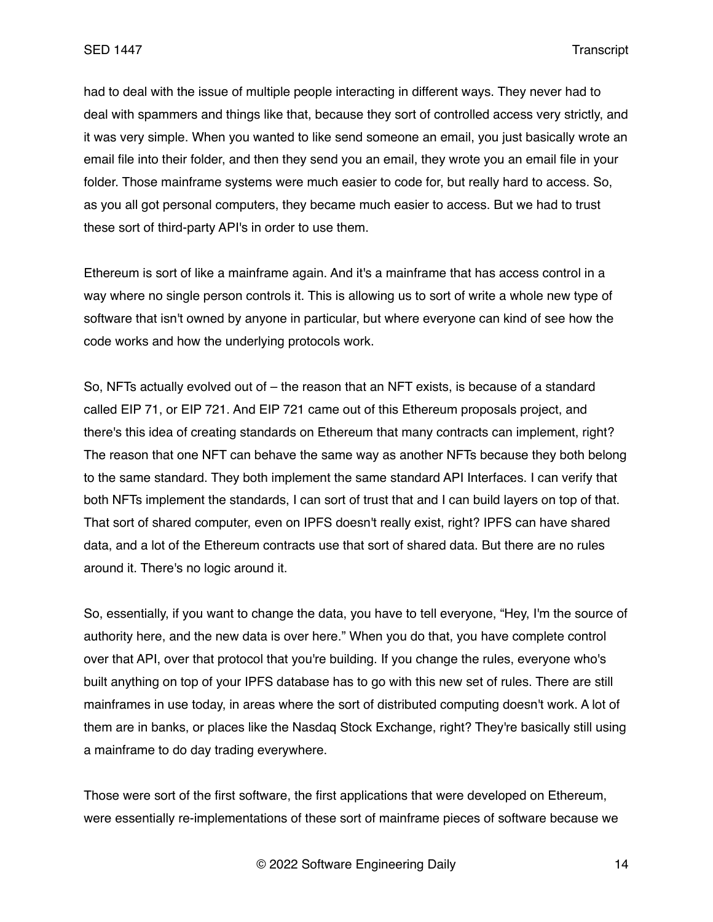had to deal with the issue of multiple people interacting in different ways. They never had to deal with spammers and things like that, because they sort of controlled access very strictly, and it was very simple. When you wanted to like send someone an email, you just basically wrote an email file into their folder, and then they send you an email, they wrote you an email file in your folder. Those mainframe systems were much easier to code for, but really hard to access. So, as you all got personal computers, they became much easier to access. But we had to trust these sort of third-party API's in order to use them.

Ethereum is sort of like a mainframe again. And it's a mainframe that has access control in a way where no single person controls it. This is allowing us to sort of write a whole new type of software that isn't owned by anyone in particular, but where everyone can kind of see how the code works and how the underlying protocols work.

So, NFTs actually evolved out of – the reason that an NFT exists, is because of a standard called EIP 71, or EIP 721. And EIP 721 came out of this Ethereum proposals project, and there's this idea of creating standards on Ethereum that many contracts can implement, right? The reason that one NFT can behave the same way as another NFTs because they both belong to the same standard. They both implement the same standard API Interfaces. I can verify that both NFTs implement the standards, I can sort of trust that and I can build layers on top of that. That sort of shared computer, even on IPFS doesn't really exist, right? IPFS can have shared data, and a lot of the Ethereum contracts use that sort of shared data. But there are no rules around it. There's no logic around it.

So, essentially, if you want to change the data, you have to tell everyone, "Hey, I'm the source of authority here, and the new data is over here." When you do that, you have complete control over that API, over that protocol that you're building. If you change the rules, everyone who's built anything on top of your IPFS database has to go with this new set of rules. There are still mainframes in use today, in areas where the sort of distributed computing doesn't work. A lot of them are in banks, or places like the Nasdaq Stock Exchange, right? They're basically still using a mainframe to do day trading everywhere.

Those were sort of the first software, the first applications that were developed on Ethereum, were essentially re-implementations of these sort of mainframe pieces of software because we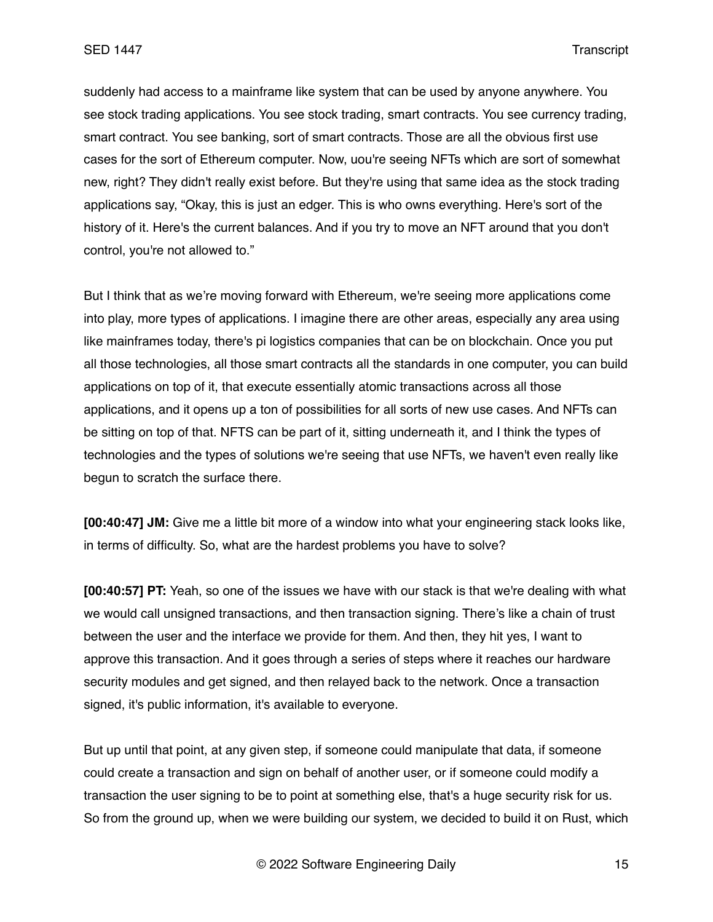suddenly had access to a mainframe like system that can be used by anyone anywhere. You see stock trading applications. You see stock trading, smart contracts. You see currency trading, smart contract. You see banking, sort of smart contracts. Those are all the obvious first use cases for the sort of Ethereum computer. Now, uou're seeing NFTs which are sort of somewhat new, right? They didn't really exist before. But they're using that same idea as the stock trading applications say, "Okay, this is just an edger. This is who owns everything. Here's sort of the history of it. Here's the current balances. And if you try to move an NFT around that you don't control, you're not allowed to."

But I think that as we're moving forward with Ethereum, we're seeing more applications come into play, more types of applications. I imagine there are other areas, especially any area using like mainframes today, there's pi logistics companies that can be on blockchain. Once you put all those technologies, all those smart contracts all the standards in one computer, you can build applications on top of it, that execute essentially atomic transactions across all those applications, and it opens up a ton of possibilities for all sorts of new use cases. And NFTs can be sitting on top of that. NFTS can be part of it, sitting underneath it, and I think the types of technologies and the types of solutions we're seeing that use NFTs, we haven't even really like begun to scratch the surface there.

**[00:40:47] JM:** Give me a little bit more of a window into what your engineering stack looks like, in terms of difficulty. So, what are the hardest problems you have to solve?

**[00:40:57] PT:** Yeah, so one of the issues we have with our stack is that we're dealing with what we would call unsigned transactions, and then transaction signing. There's like a chain of trust between the user and the interface we provide for them. And then, they hit yes, I want to approve this transaction. And it goes through a series of steps where it reaches our hardware security modules and get signed, and then relayed back to the network. Once a transaction signed, it's public information, it's available to everyone.

But up until that point, at any given step, if someone could manipulate that data, if someone could create a transaction and sign on behalf of another user, or if someone could modify a transaction the user signing to be to point at something else, that's a huge security risk for us. So from the ground up, when we were building our system, we decided to build it on Rust, which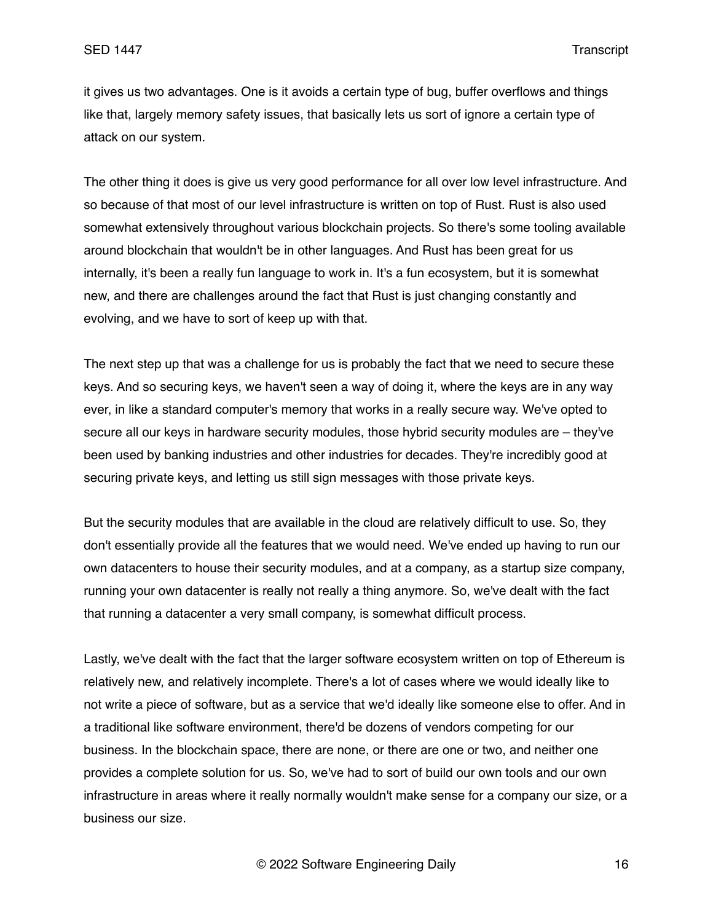it gives us two advantages. One is it avoids a certain type of bug, buffer overflows and things like that, largely memory safety issues, that basically lets us sort of ignore a certain type of attack on our system.

The other thing it does is give us very good performance for all over low level infrastructure. And so because of that most of our level infrastructure is written on top of Rust. Rust is also used somewhat extensively throughout various blockchain projects. So there's some tooling available around blockchain that wouldn't be in other languages. And Rust has been great for us internally, it's been a really fun language to work in. It's a fun ecosystem, but it is somewhat new, and there are challenges around the fact that Rust is just changing constantly and evolving, and we have to sort of keep up with that.

The next step up that was a challenge for us is probably the fact that we need to secure these keys. And so securing keys, we haven't seen a way of doing it, where the keys are in any way ever, in like a standard computer's memory that works in a really secure way. We've opted to secure all our keys in hardware security modules, those hybrid security modules are – they've been used by banking industries and other industries for decades. They're incredibly good at securing private keys, and letting us still sign messages with those private keys.

But the security modules that are available in the cloud are relatively difficult to use. So, they don't essentially provide all the features that we would need. We've ended up having to run our own datacenters to house their security modules, and at a company, as a startup size company, running your own datacenter is really not really a thing anymore. So, we've dealt with the fact that running a datacenter a very small company, is somewhat difficult process.

Lastly, we've dealt with the fact that the larger software ecosystem written on top of Ethereum is relatively new, and relatively incomplete. There's a lot of cases where we would ideally like to not write a piece of software, but as a service that we'd ideally like someone else to offer. And in a traditional like software environment, there'd be dozens of vendors competing for our business. In the blockchain space, there are none, or there are one or two, and neither one provides a complete solution for us. So, we've had to sort of build our own tools and our own infrastructure in areas where it really normally wouldn't make sense for a company our size, or a business our size.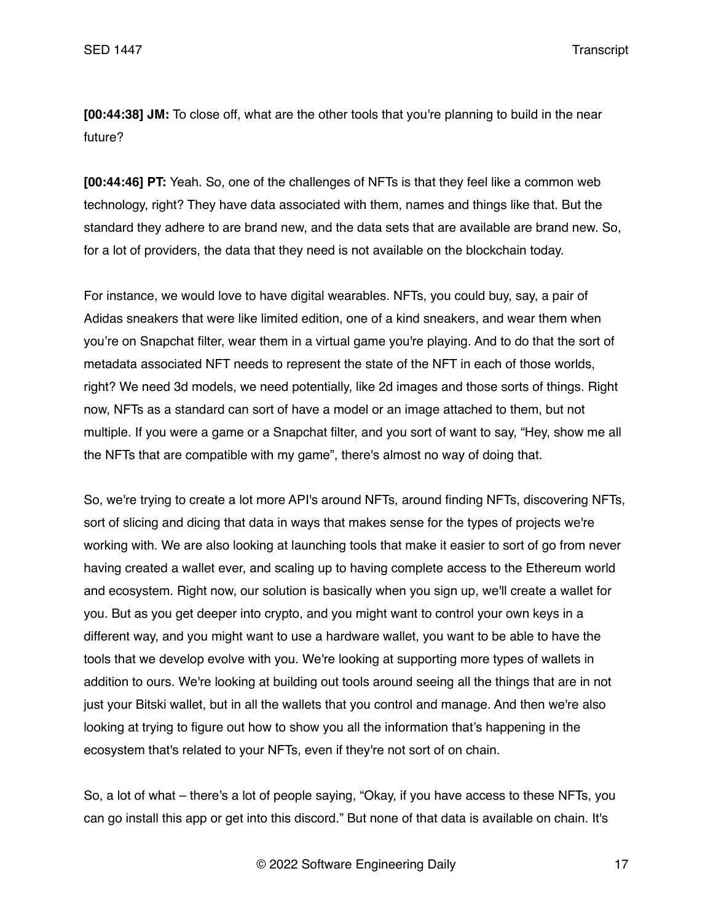**[00:44:38] JM:** To close off, what are the other tools that you're planning to build in the near future?

**[00:44:46] PT:** Yeah. So, one of the challenges of NFTs is that they feel like a common web technology, right? They have data associated with them, names and things like that. But the standard they adhere to are brand new, and the data sets that are available are brand new. So, for a lot of providers, the data that they need is not available on the blockchain today.

For instance, we would love to have digital wearables. NFTs, you could buy, say, a pair of Adidas sneakers that were like limited edition, one of a kind sneakers, and wear them when you're on Snapchat filter, wear them in a virtual game you're playing. And to do that the sort of metadata associated NFT needs to represent the state of the NFT in each of those worlds, right? We need 3d models, we need potentially, like 2d images and those sorts of things. Right now, NFTs as a standard can sort of have a model or an image attached to them, but not multiple. If you were a game or a Snapchat filter, and you sort of want to say, "Hey, show me all the NFTs that are compatible with my game", there's almost no way of doing that.

So, we're trying to create a lot more API's around NFTs, around finding NFTs, discovering NFTs, sort of slicing and dicing that data in ways that makes sense for the types of projects we're working with. We are also looking at launching tools that make it easier to sort of go from never having created a wallet ever, and scaling up to having complete access to the Ethereum world and ecosystem. Right now, our solution is basically when you sign up, we'll create a wallet for you. But as you get deeper into crypto, and you might want to control your own keys in a different way, and you might want to use a hardware wallet, you want to be able to have the tools that we develop evolve with you. We're looking at supporting more types of wallets in addition to ours. We're looking at building out tools around seeing all the things that are in not just your Bitski wallet, but in all the wallets that you control and manage. And then we're also looking at trying to figure out how to show you all the information that's happening in the ecosystem that's related to your NFTs, even if they're not sort of on chain.

So, a lot of what – there's a lot of people saying, "Okay, if you have access to these NFTs, you can go install this app or get into this discord." But none of that data is available on chain. It's

© 2022 Software Engineering Daily 17